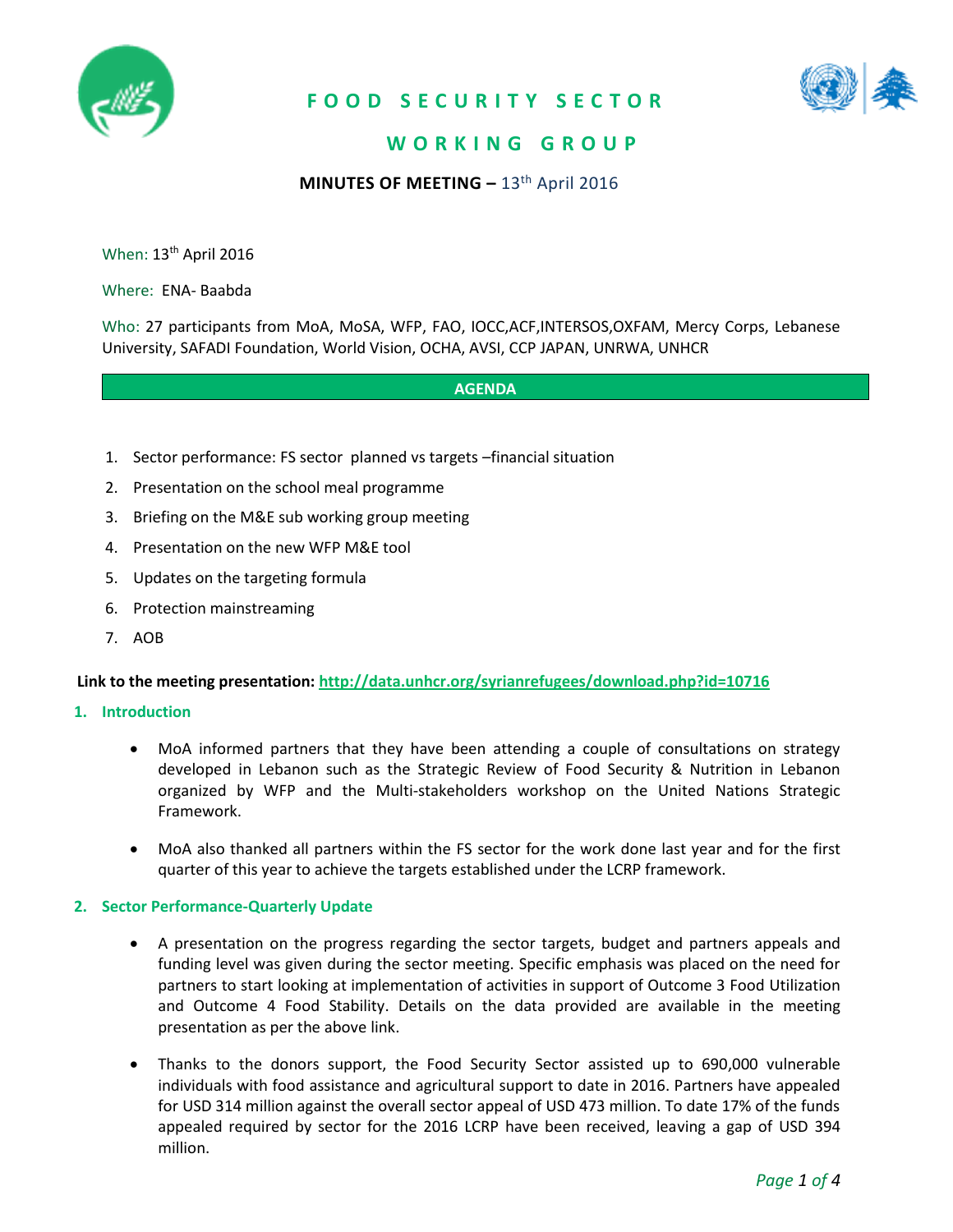

### **F O O D S E C U R I T Y S E C T O R**



### **W O R K I N G G R O U P**

**MINUTES OF MEETING –** 13th April 2016

When: 13<sup>th</sup> April 2016

Where: ENA- Baabda

Who: 27 participants from MoA, MoSA, WFP, FAO, IOCC,ACF,INTERSOS,OXFAM, Mercy Corps, Lebanese University, SAFADI Foundation, World Vision, OCHA, AVSI, CCP JAPAN, UNRWA, UNHCR

#### **AGENDA**

- 1. Sector performance: FS sector planned vs targets –financial situation
- 2. Presentation on the school meal programme
- 3. Briefing on the M&E sub working group meeting
- 4. Presentation on the new WFP M&E tool
- 5. Updates on the targeting formula
- 6. Protection mainstreaming
- 7. AOB

#### **Link to the meeting presentation: <http://data.unhcr.org/syrianrefugees/download.php?id=10716>**

#### **1. Introduction**

- MoA informed partners that they have been attending a couple of consultations on strategy developed in Lebanon such as the Strategic Review of Food Security & Nutrition in Lebanon organized by WFP and the Multi-stakeholders workshop on the United Nations Strategic Framework.
- MoA also thanked all partners within the FS sector for the work done last year and for the first quarter of this year to achieve the targets established under the LCRP framework.

#### **2. Sector Performance-Quarterly Update**

- A presentation on the progress regarding the sector targets, budget and partners appeals and funding level was given during the sector meeting. Specific emphasis was placed on the need for partners to start looking at implementation of activities in support of Outcome 3 Food Utilization and Outcome 4 Food Stability. Details on the data provided are available in the meeting presentation as per the above link.
- Thanks to the donors support, the Food Security Sector assisted up to 690,000 vulnerable individuals with food assistance and agricultural support to date in 2016. Partners have appealed for USD 314 million against the overall sector appeal of USD 473 million. To date 17% of the funds appealed required by sector for the 2016 LCRP have been received, leaving a gap of USD 394 million.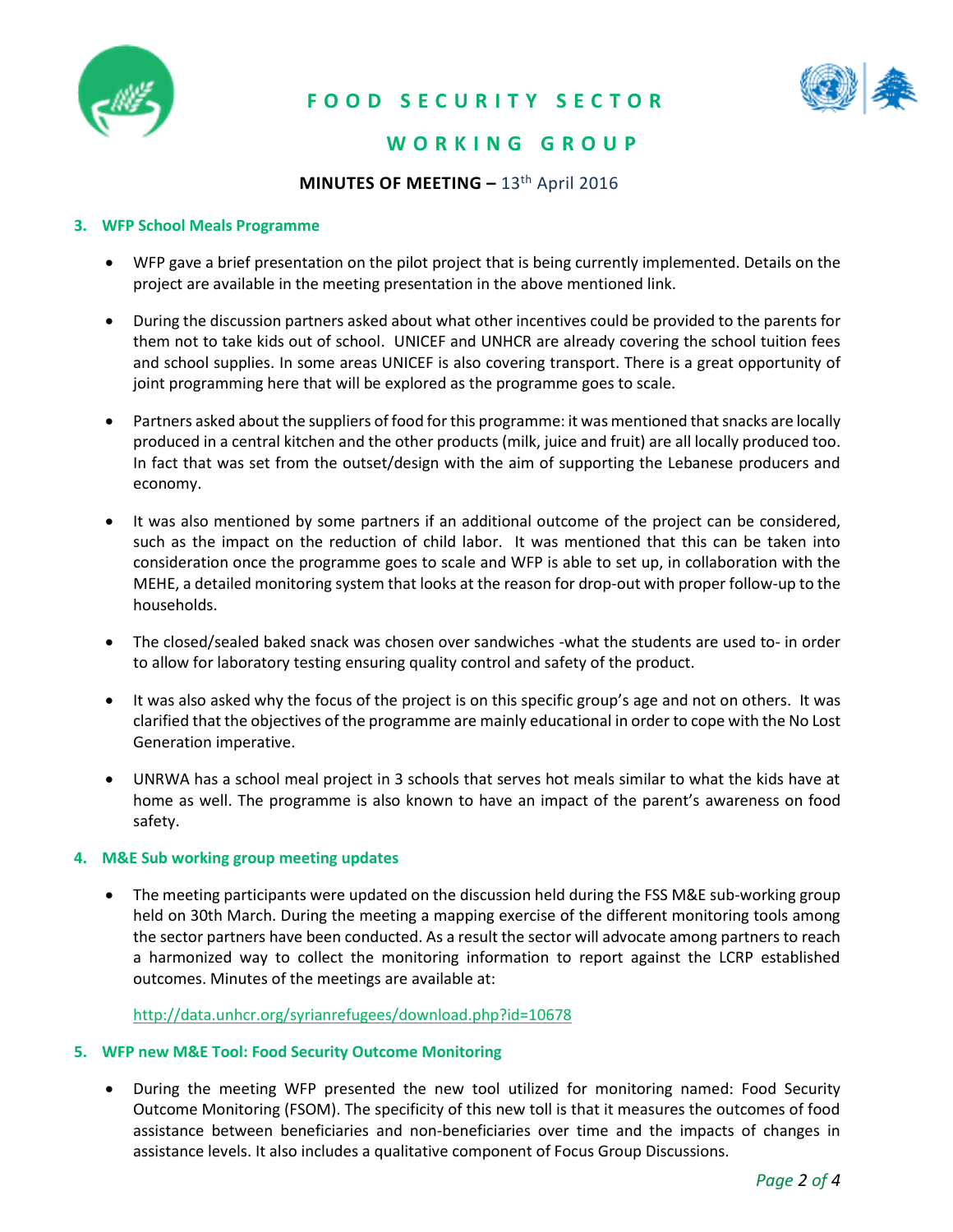

# **F O O D S E C U R I T Y S E C T O R**



# **W O R K I N G G R O U P**

### **MINUTES OF MEETING - 13<sup>th</sup> April 2016**

#### **3. WFP School Meals Programme**

- WFP gave a brief presentation on the pilot project that is being currently implemented. Details on the project are available in the meeting presentation in the above mentioned link.
- During the discussion partners asked about what other incentives could be provided to the parents for them not to take kids out of school. UNICEF and UNHCR are already covering the school tuition fees and school supplies. In some areas UNICEF is also covering transport. There is a great opportunity of joint programming here that will be explored as the programme goes to scale.
- Partners asked about the suppliers of food for this programme: it was mentioned that snacks are locally produced in a central kitchen and the other products (milk, juice and fruit) are all locally produced too. In fact that was set from the outset/design with the aim of supporting the Lebanese producers and economy.
- It was also mentioned by some partners if an additional outcome of the project can be considered, such as the impact on the reduction of child labor. It was mentioned that this can be taken into consideration once the programme goes to scale and WFP is able to set up, in collaboration with the MEHE, a detailed monitoring system that looks at the reason for drop-out with proper follow-up to the households.
- The closed/sealed baked snack was chosen over sandwiches -what the students are used to- in order to allow for laboratory testing ensuring quality control and safety of the product.
- It was also asked why the focus of the project is on this specific group's age and not on others. It was clarified that the objectives of the programme are mainly educational in order to cope with the No Lost Generation imperative.
- UNRWA has a school meal project in 3 schools that serves hot meals similar to what the kids have at home as well. The programme is also known to have an impact of the parent's awareness on food safety.

#### **4. M&E Sub working group meeting updates**

• The meeting participants were updated on the discussion held during the FSS M&E sub-working group held on 30th March. During the meeting a mapping exercise of the different monitoring tools among the sector partners have been conducted. As a result the sector will advocate among partners to reach a harmonized way to collect the monitoring information to report against the LCRP established outcomes. Minutes of the meetings are available at:

#### <http://data.unhcr.org/syrianrefugees/download.php?id=10678>

#### **5. WFP new M&E Tool: Food Security Outcome Monitoring**

 During the meeting WFP presented the new tool utilized for monitoring named: Food Security Outcome Monitoring (FSOM). The specificity of this new toll is that it measures the outcomes of food assistance between beneficiaries and non-beneficiaries over time and the impacts of changes in assistance levels. It also includes a qualitative component of Focus Group Discussions.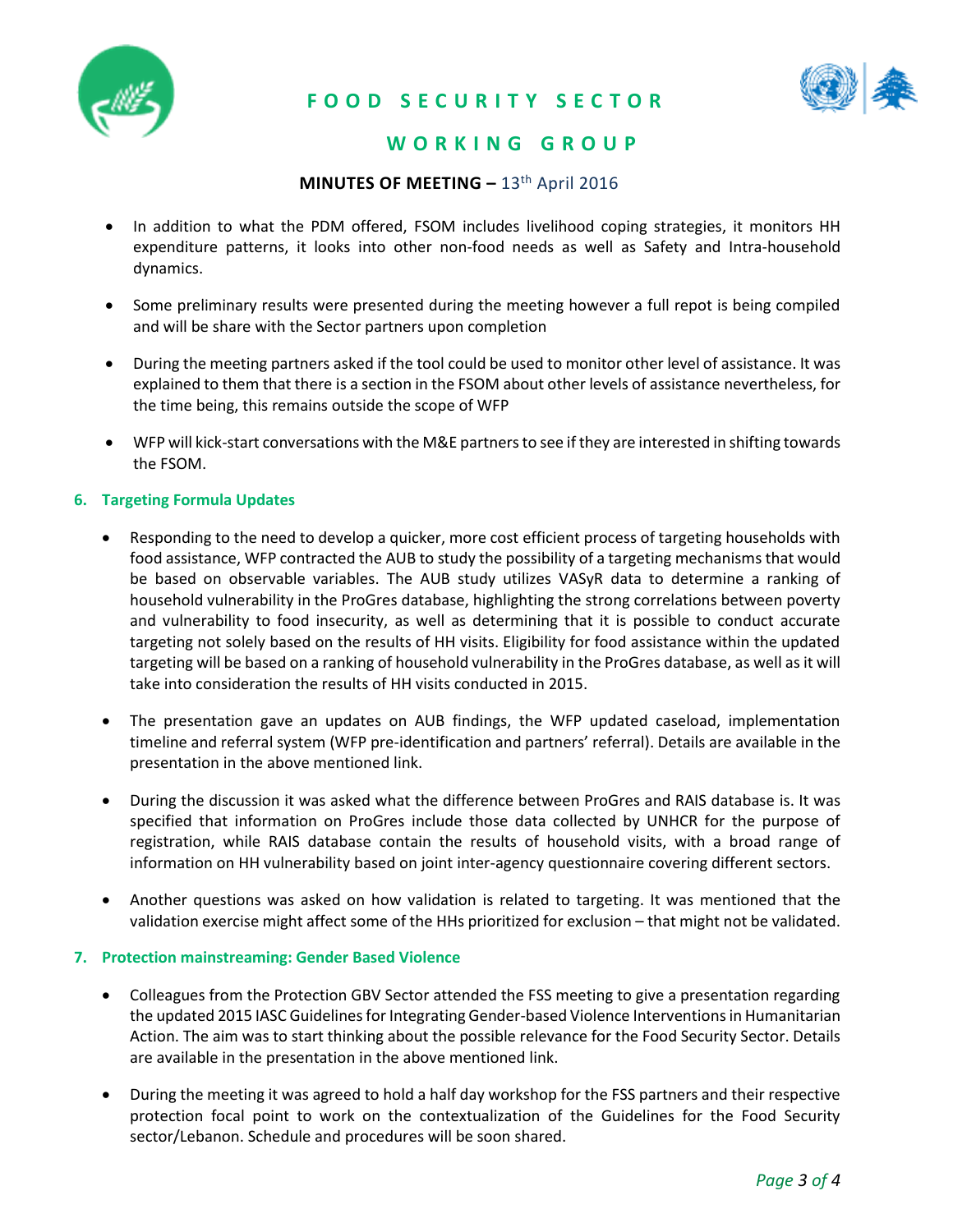

# **F O O D S E C U R I T Y S E C T O R**



### **W O R K I N G G R O U P**

### **MINUTES OF MEETING - 13<sup>th</sup> April 2016**

- In addition to what the PDM offered, FSOM includes livelihood coping strategies, it monitors HH expenditure patterns, it looks into other non-food needs as well as Safety and Intra-household dynamics.
- Some preliminary results were presented during the meeting however a full repot is being compiled and will be share with the Sector partners upon completion
- During the meeting partners asked if the tool could be used to monitor other level of assistance. It was explained to them that there is a section in the FSOM about other levels of assistance nevertheless, for the time being, this remains outside the scope of WFP
- WFP will kick-start conversations with the M&E partners to see if they are interested in shifting towards the FSOM.

#### **6. Targeting Formula Updates**

- Responding to the need to develop a quicker, more cost efficient process of targeting households with food assistance, WFP contracted the AUB to study the possibility of a targeting mechanisms that would be based on observable variables. The AUB study utilizes VASyR data to determine a ranking of household vulnerability in the ProGres database, highlighting the strong correlations between poverty and vulnerability to food insecurity, as well as determining that it is possible to conduct accurate targeting not solely based on the results of HH visits. Eligibility for food assistance within the updated targeting will be based on a ranking of household vulnerability in the ProGres database, as well as it will take into consideration the results of HH visits conducted in 2015.
- The presentation gave an updates on AUB findings, the WFP updated caseload, implementation timeline and referral system (WFP pre-identification and partners' referral). Details are available in the presentation in the above mentioned link.
- During the discussion it was asked what the difference between ProGres and RAIS database is. It was specified that information on ProGres include those data collected by UNHCR for the purpose of registration, while RAIS database contain the results of household visits, with a broad range of information on HH vulnerability based on joint inter-agency questionnaire covering different sectors.
- Another questions was asked on how validation is related to targeting. It was mentioned that the validation exercise might affect some of the HHs prioritized for exclusion – that might not be validated.

#### **7. Protection mainstreaming: Gender Based Violence**

- Colleagues from the Protection GBV Sector attended the FSS meeting to give a presentation regarding the updated 2015 IASC Guidelines for Integrating Gender-based Violence Interventions in Humanitarian Action. The aim was to start thinking about the possible relevance for the Food Security Sector. Details are available in the presentation in the above mentioned link.
- During the meeting it was agreed to hold a half day workshop for the FSS partners and their respective protection focal point to work on the contextualization of the Guidelines for the Food Security sector/Lebanon. Schedule and procedures will be soon shared.